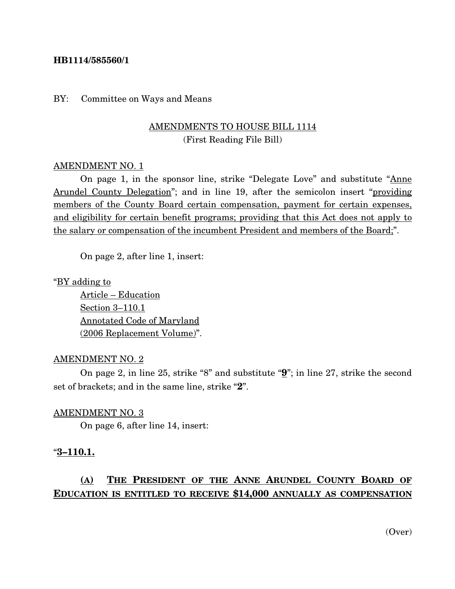#### **HB1114/585560/1**

#### BY: Committee on Ways and Means

## AMENDMENTS TO HOUSE BILL 1114 (First Reading File Bill)

#### AMENDMENT NO. 1

On page 1, in the sponsor line, strike "Delegate Love" and substitute "Anne Arundel County Delegation"; and in line 19, after the semicolon insert "providing members of the County Board certain compensation, payment for certain expenses, and eligibility for certain benefit programs; providing that this Act does not apply to the salary or compensation of the incumbent President and members of the Board;".

On page 2, after line 1, insert:

"BY adding to

Article – Education Section 3–110.1 Annotated Code of Maryland (2006 Replacement Volume)".

#### AMENDMENT NO. 2

On page 2, in line 25, strike "8" and substitute "**9**"; in line 27, strike the second set of brackets; and in the same line, strike "**2**".

#### AMENDMENT NO. 3

On page 6, after line 14, insert:

#### "**3–110.1.**

# **(A) THE PRESIDENT OF THE ANNE ARUNDEL COUNTY BOARD OF EDUCATION IS ENTITLED TO RECEIVE \$14,000 ANNUALLY AS COMPENSATION**

(Over)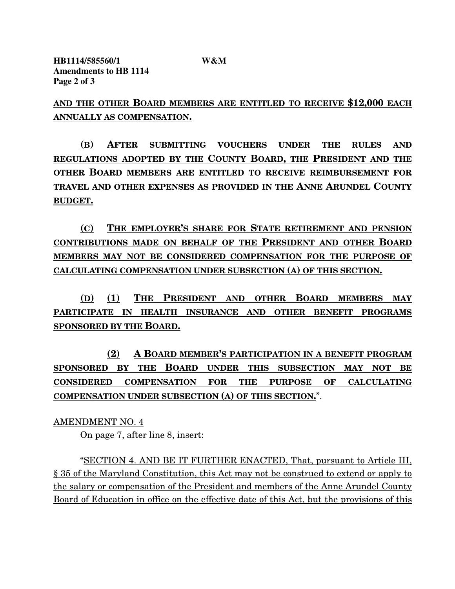**AND THE OTHER BOARD MEMBERS ARE ENTITLED TO RECEIVE \$12,000 EACH ANNUALLY AS COMPENSATION.**

**(B) AFTER SUBMITTING VOUCHERS UNDER THE RULES AND REGULATIONS ADOPTED BY THE COUNTY BOARD, THE PRESIDENT AND THE OTHER BOARD MEMBERS ARE ENTITLED TO RECEIVE REIMBURSEMENT FOR TRAVEL AND OTHER EXPENSES AS PROVIDED IN THE ANNE ARUNDEL COUNTY BUDGET.**

**(C) THE EMPLOYER'S SHARE FOR STATE RETIREMENT AND PENSION CONTRIBUTIONS MADE ON BEHALF OF THE PRESIDENT AND OTHER BOARD MEMBERS MAY NOT BE CONSIDERED COMPENSATION FOR THE PURPOSE OF CALCULATING COMPENSATION UNDER SUBSECTION (A) OF THIS SECTION.**

**(D) (1) THE PRESIDENT AND OTHER BOARD MEMBERS MAY PARTICIPATE IN HEALTH INSURANCE AND OTHER BENEFIT PROGRAMS SPONSORED BY THE BOARD.**

**(2) A BOARD MEMBER'S PARTICIPATION IN A BENEFIT PROGRAM SPONSORED BY THE BOARD UNDER THIS SUBSECTION MAY NOT BE CONSIDERED COMPENSATION FOR THE PURPOSE OF CALCULATING COMPENSATION UNDER SUBSECTION (A) OF THIS SECTION.**".

AMENDMENT NO. 4

On page 7, after line 8, insert:

"SECTION 4. AND BE IT FURTHER ENACTED, That, pursuant to Article III, § 35 of the Maryland Constitution, this Act may not be construed to extend or apply to the salary or compensation of the President and members of the Anne Arundel County Board of Education in office on the effective date of this Act, but the provisions of this